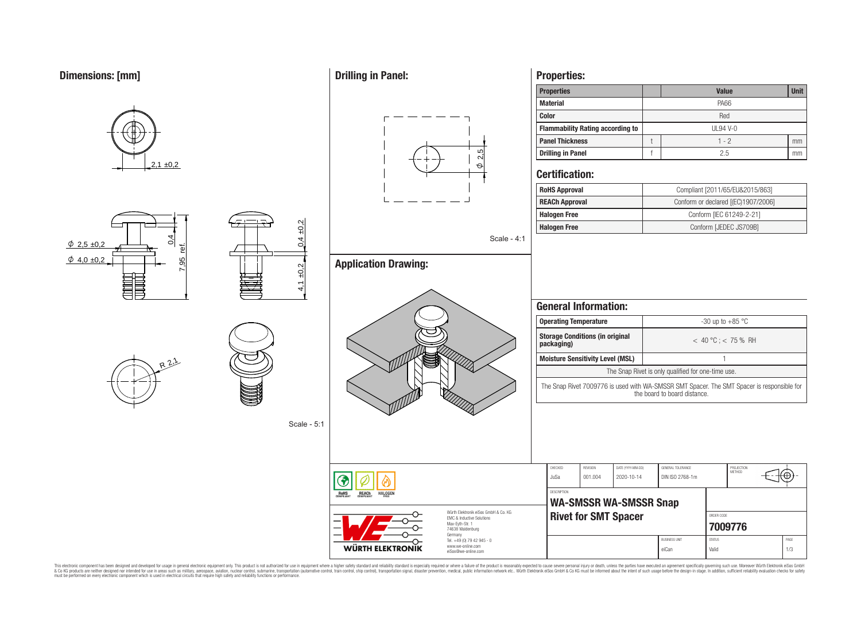





 $4,1 \pm 0.2$   $2,9,4 \pm 0.2$ 

Scale - 5:1





**Drilling in Panel:**



Scale - 4:1

**Application Drawing:**



# **Properties:**

| <b>Properties</b>                       |                 | <b>Value</b> | <b>Unit</b> |  |  |  |  |
|-----------------------------------------|-----------------|--------------|-------------|--|--|--|--|
| <b>Material</b>                         |                 | PA66         |             |  |  |  |  |
| <b>Color</b>                            | Red             |              |             |  |  |  |  |
| <b>Flammability Rating according to</b> | <b>UL94 V-0</b> |              |             |  |  |  |  |
| <b>Panel Thickness</b>                  |                 | $1 - 2$      | mm          |  |  |  |  |
| <b>Drilling in Panel</b>                |                 | 2.5          | mm          |  |  |  |  |

# **Certification:**

| <b>RoHS Approval</b>  | Compliant [2011/65/EU&2015/863]     |  |  |  |  |  |
|-----------------------|-------------------------------------|--|--|--|--|--|
| <b>REACh Approval</b> | Conform or declared [(EC)1907/2006] |  |  |  |  |  |
| <b>Halogen Free</b>   | Conform [IEC 61249-2-21]            |  |  |  |  |  |
| <b>Halogen Free</b>   | Conform [JEDEC JS709B]              |  |  |  |  |  |

| <b>Operating Temperature</b><br><b>Storage Conditions (in original</b><br>packaging)<br><b>Moisture Sensitivity Level (MSL)</b> |                    |                 |                                                              | -30 up to $+85$ °C<br>$<$ 40 °C; $<$ 75 % RH |            |               |  |                                                    |  |  |
|---------------------------------------------------------------------------------------------------------------------------------|--------------------|-----------------|--------------------------------------------------------------|----------------------------------------------|------------|---------------|--|----------------------------------------------------|--|--|
|                                                                                                                                 |                    |                 |                                                              |                                              |            |               |  |                                                    |  |  |
|                                                                                                                                 |                    |                 |                                                              |                                              |            |               |  | The Snap Rivet is only qualified for one-time use. |  |  |
|                                                                                                                                 |                    |                 |                                                              | the board to board distance.                 |            |               |  |                                                    |  |  |
|                                                                                                                                 |                    |                 |                                                              |                                              |            |               |  |                                                    |  |  |
|                                                                                                                                 | CHECKED            | <b>REVISION</b> | DATE (YYYY-MM-DD)                                            | GENERAL TOLERANCE                            |            | PROJECTION    |  |                                                    |  |  |
|                                                                                                                                 | JuSa               | 001.004         | 2020-10-14                                                   | DIN ISO 2768-1m                              |            | <b>MFTHOD</b> |  |                                                    |  |  |
|                                                                                                                                 | <b>DESCRIPTION</b> |                 |                                                              |                                              |            |               |  |                                                    |  |  |
|                                                                                                                                 |                    |                 | <b>WA-SMSSR WA-SMSSR Snap</b><br><b>Rivet for SMT Spacer</b> |                                              | ORDER CODE | 7009776       |  |                                                    |  |  |

eiCan Valid 1/3

This electronic component has been designed and developed for usage in general electronic equipment only. This product is not authorized for subserved requipment where a higher selection equipment where a higher selection

WÜRTH ELEKTRONIK

Tel. +49 (0) 79 42 945 - 0 www.we-online.com eiSos@we-online.com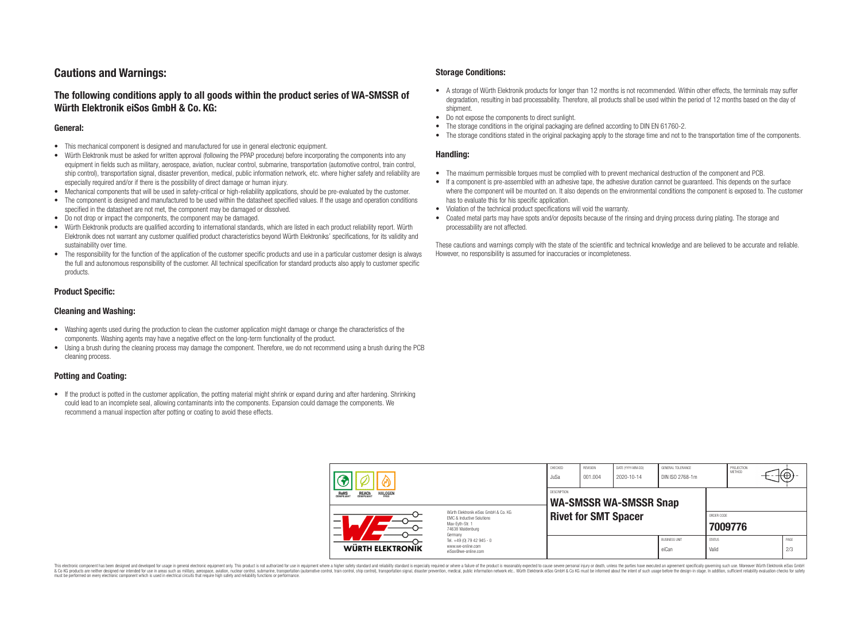# **Cautions and Warnings:**

# **The following conditions apply to all goods within the product series of WA-SMSSR of Würth Elektronik eiSos GmbH & Co. KG:**

### **General:**

- This mechanical component is designed and manufactured for use in general electronic equipment.
- Würth Elektronik must be asked for written approval (following the PPAP procedure) before incorporating the components into any equipment in fields such as military, aerospace, aviation, nuclear control, submarine, transportation (automotive control, train control, ship control), transportation signal, disaster prevention, medical, public information network, etc. where higher safety and reliability are especially required and/or if there is the possibility of direct damage or human injury.
- Mechanical components that will be used in safety-critical or high-reliability applications, should be pre-evaluated by the customer.
- The component is designed and manufactured to be used within the datasheet specified values. If the usage and operation conditions specified in the datasheet are not met, the component may be damaged or dissolved.
- Do not drop or impact the components, the component may be damaged.
- Würth Elektronik products are qualified according to international standards, which are listed in each product reliability report. Würth Elektronik does not warrant any customer qualified product characteristics beyond Würth Elektroniks' specifications, for its validity and sustainability over time.
- The responsibility for the function of the application of the customer specific products and use in a particular customer design is always the full and autonomous responsibility of the customer. All technical specification for standard products also apply to customer specific products.

## **Product Specific:**

### **Cleaning and Washing:**

- Washing agents used during the production to clean the customer application might damage or change the characteristics of the components. Washing agents may have a negative effect on the long-term functionality of the product.
- Using a brush during the cleaning process may damage the component. Therefore, we do not recommend using a brush during the PCB cleaning process.

# **Potting and Coating:**

• If the product is potted in the customer application, the potting material might shrink or expand during and after hardening. Shrinking could lead to an incomplete seal, allowing contaminants into the components. Expansion could damage the components. We recommend a manual inspection after potting or coating to avoid these effects.

### **Storage Conditions:**

- A storage of Würth Elektronik products for longer than 12 months is not recommended. Within other effects, the terminals may suffer degradation, resulting in bad processability. Therefore, all products shall be used within the period of 12 months based on the day of shipment.
- Do not expose the components to direct sunlight.<br>• The storage conditions in the original packaging
- The storage conditions in the original packaging are defined according to DIN EN 61760-2.
- The storage conditions stated in the original packaging apply to the storage time and not to the transportation time of the components.

### **Handling:**

- The maximum permissible torques must be complied with to prevent mechanical destruction of the component and PCB.
- If a component is pre-assembled with an adhesive tape, the adhesive duration cannot be guaranteed. This depends on the surface where the component will be mounted on. It also depends on the environmental conditions the component is exposed to. The customer has to evaluate this for his specific application.
- Violation of the technical product specifications will void the warranty.
- Coated metal parts may have spots and/or deposits because of the rinsing and drying process during plating. The storage and processability are not affected.

These cautions and warnings comply with the state of the scientific and technical knowledge and are believed to be accurate and reliable. However, no responsibility is assumed for inaccuracies or incompleteness.

| <b>HALOGEN</b><br><b>REACH</b><br>COMPLIANT<br><b>ROHS</b><br>COMPLIANT<br>FRFF |                                                                                                                     | CHECKED<br>JuSa    | REVISION<br>001.004         | DATE (YYYY-MM-DD)<br>2020-10-14 | GENERAL TOLERANCE<br>DIN ISO 2768-1m |                        | PROJECTION<br><b>METHOD</b> | ™.          |
|---------------------------------------------------------------------------------|---------------------------------------------------------------------------------------------------------------------|--------------------|-----------------------------|---------------------------------|--------------------------------------|------------------------|-----------------------------|-------------|
|                                                                                 |                                                                                                                     | <b>DESCRIPTION</b> |                             | <b>WA-SMSSR WA-SMSSR Snap</b>   |                                      |                        |                             |             |
| –<br>$\overline{\phantom{0}}$                                                   | Würth Elektronik eiSos GmbH & Co. KG<br>EMC & Inductive Solutions<br>Max-Evth-Str. 1<br>74638 Waldenburg<br>Germany |                    | <b>Rivet for SMT Spacer</b> |                                 |                                      | ORDER CODE             | 7009776                     |             |
| <b>WÜRTH ELEKTRONIK</b>                                                         | Tel. +49 (0) 79 42 945 - 0<br>www.we-online.com<br>eiSos@we-online.com                                              |                    |                             |                                 | <b>BUSINESS UNIT</b><br>eiCan        | <b>STATUS</b><br>Valid |                             | PAGE<br>2/3 |

This electronic component has been designed and developed for usage in general electronic equipment only. This product is not authorized for use in equipment where a higher safety standard and reliability standard si espec & Ook product a label and the membed of the seasuch as marked and as which such a membed and the such assume that income in the seasuch and the simulation and the such assume that include to the such a membed and the such